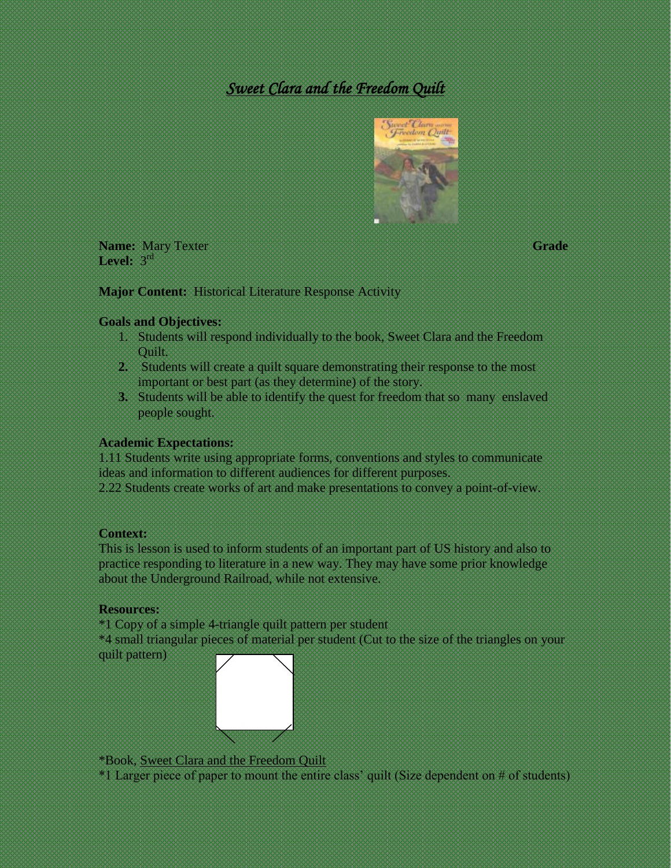# *Sweet Clara and the Freedom Quilt*



**Name:** Mary Texter **Grade**  Level: 3<sup>rd</sup>

**Major Content:** Historical Literature Response Activity

## **Goals and Objectives:**

- 1. Students will respond individually to the book, Sweet Clara and the Freedom Quilt.
- **2.** Students will create a quilt square demonstrating their response to the most important or best part (as they determine) of the story.
- **3.** Students will be able to identify the quest for freedom that so many enslaved people sought.

# **Academic Expectations:**

1.11 Students write using appropriate forms, conventions and styles to communicate ideas and information to different audiences for different purposes.

2.22 Students create works of art and make presentations to convey a point-of-view.

## **Context:**

This is lesson is used to inform students of an important part of US history and also to practice responding to literature in a new way. They may have some prior knowledge about the Underground Railroad, while not extensive.

# **Resources:**

\*1 Copy of a simple 4-triangle quilt pattern per student

\*4 small triangular pieces of material per student (Cut to the size of the triangles on your quilt pattern)



\*Book, Sweet Clara and the Freedom Quilt

\*1 Larger piece of paper to mount the entire class' quilt (Size dependent on # of students)